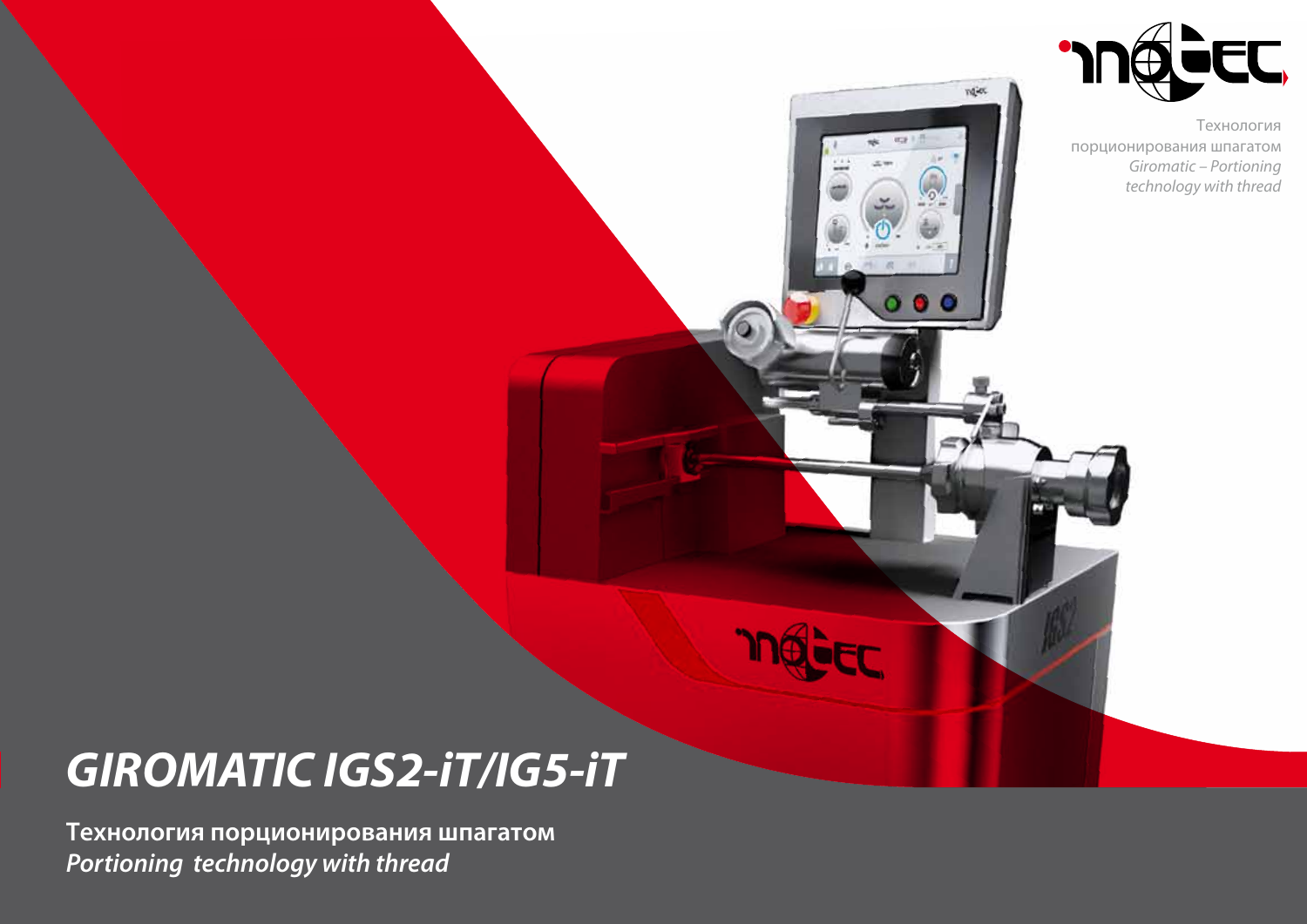

ndie

 $\alpha$   $\bullet$ 

Технология порционирования шпагатом *Giromatic – Portioning technology with thread*

# *GIROMATIC IGS2-iT/IG5-iT*

**Технология порционирования шпагатом** *Portioning technology with thread*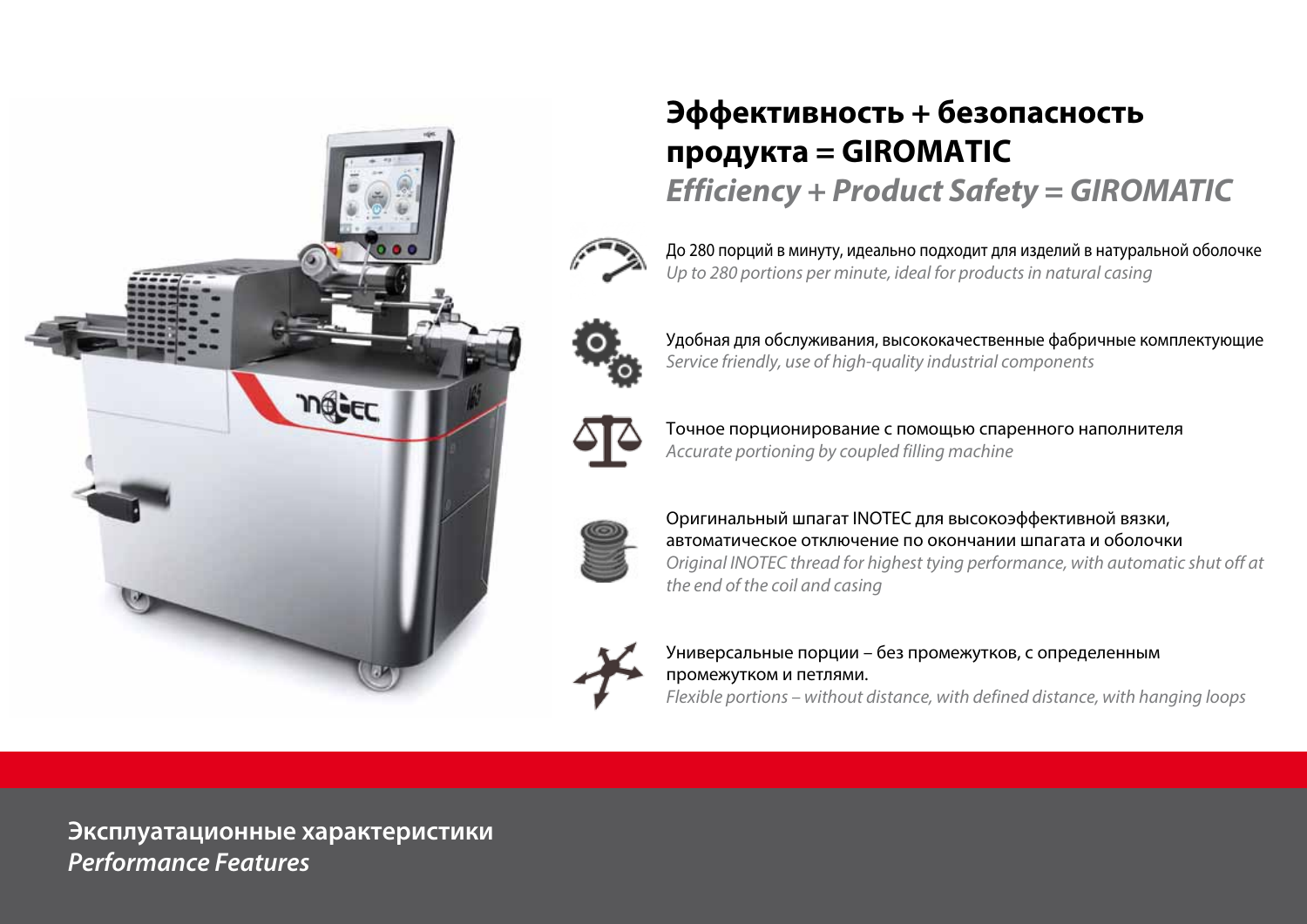

# Эффективность + безопасность продукта = GIROMATIC **Efficiency + Product Safety = GIROMATIC**

До 280 порций в минуту, идеально подходит для изделий в натуральной оболочке Up to 280 portions per minute, ideal for products in natural casing



Удобная для обслуживания, высококачественные фабричные комплектующие Service friendly, use of high-quality industrial components



Точное порционирование с помощью спаренного наполнителя Accurate portioning by coupled filling machine



Оригинальный шпагат INOTEC для высокоэффективной вязки, автоматическое отключение по окончании шпагата и оболочки Original INOTEC thread for highest tying performance, with automatic shut off at the end of the coil and casing



Универсальные порции - без промежутков, с определенным промежутком и петлями.

Flexible portions – without distance, with defined distance, with hanging loops

Эксплуатационные характеристики **Performance Features**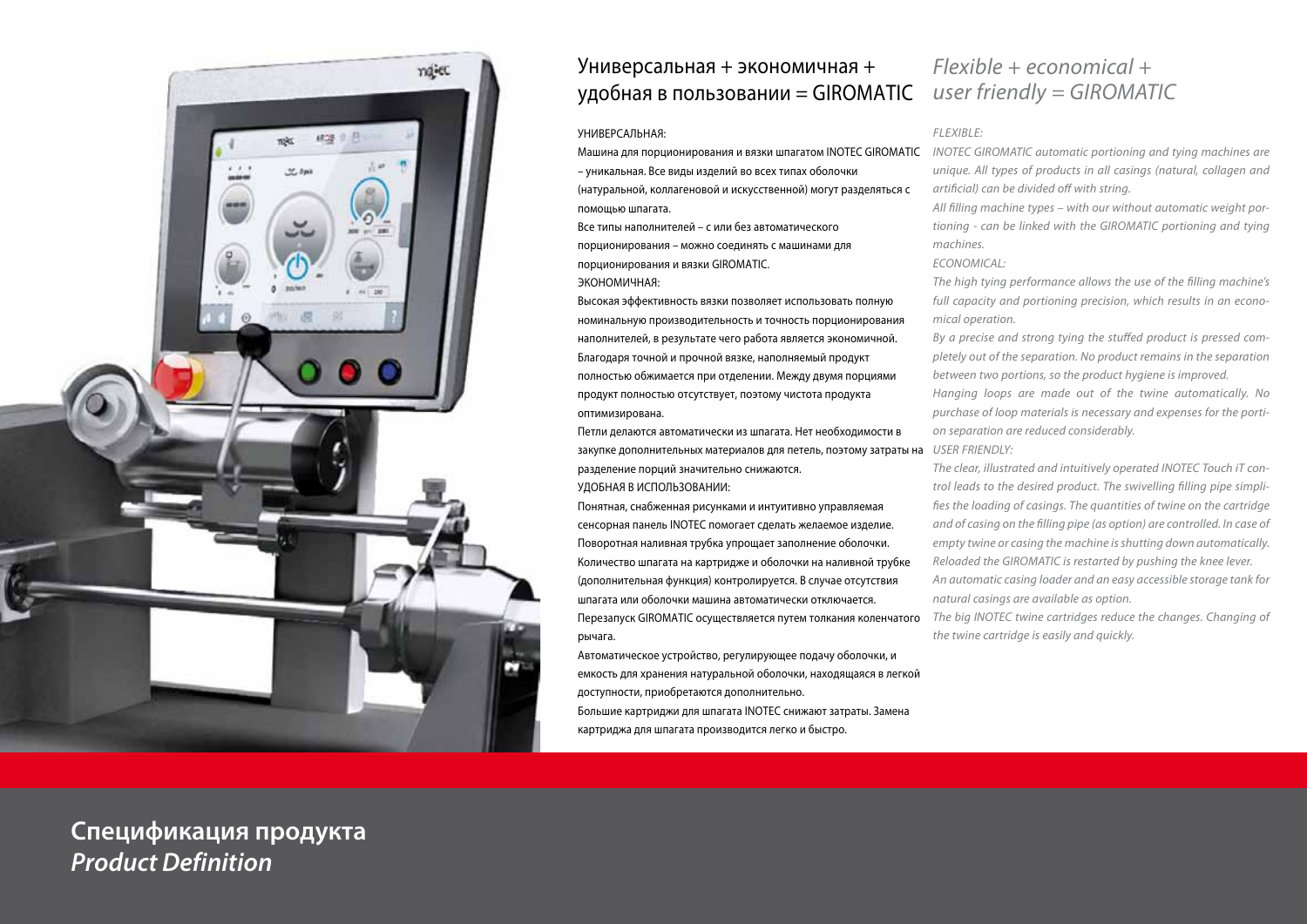

## Универсальная + экономичная + удобная в пользовании = GIROMATIC *user friendly = GIROMATIC*

#### УНИВЕРСАЛЬНАЯ:

Машина для порционирования и вязки шпагатом INOTEC GIROMATIC *INOTEC GIROMATIC automatic portioning and tying machines are*  – уникальная. Все виды изделий во всех типах оболочки

(натуральной, коллагеновой и искусственной) могут разделяться с помощью шпагата.

Все типы наполнителей – с или без автоматического порционирования – можно соединять с машинами для порционирования и вязки GIROMATIC.

### ЭКОНОМИЧНАЯ:

Высокая эффективность вязки позволяет использовать полную номинальную производительность и точность порционирования наполнителей, в результате чего работа является экономичной. Благодаря точной и прочной вязке, наполняемый продукт полностью обжимается при отделении. Между двумя порциями продукт полностью отсутствует, поэтому чистота продукта оптимизирована.

Петли делаются автоматически из шпагата. Нет необходимости в закупке дополнительных материалов для петель, поэтому затраты на *USER FRIENDLY:* разделение порций значительно снижаются. УДОБНАЯ В ИСПОЛЬЗОВАНИИ:

Понятная, снабженная рисунками и интуитивно управляемая сенсорная панель INOTEC помогает сделать желаемое изделие. Поворотная наливная трубка упрощает заполнение оболочки. Количество шпагата на картридже и оболочки на наливной трубке (дополнительная функция) контролируется. В случае отсутствия шпагата или оболочки машина автоматически отключается. Перезапуск GIROMATIC осуществляется путем толкания коленчатого рычага.

Автоматическое устройство, регулирующее подачу оболочки, и емкость для хранения натуральной оболочки, находящаяся в легкой доступности, приобретаются дополнительно. Большие картриджи для шпагата INOTEC снижают затраты. Замена картриджа для шпагата производится легко и быстро.

# *Flexible + economical +*

#### *flexible:*

*unique. All types of products in all casings (natural, collagen and artificial) can be divided off with string.*

*All filling machine types – with our without automatic weight portioning - can be linked with the GIROMATIC portioning and tying machines.*

*ECONOMICAL:*

*The high tying performance allows the use of the filling machine's full capacity and portioning precision, which results in an economical operation.*

*By a precise and strong tying the stuffed product is pressed completely out of the separation. No product remains in the separation between two portions, so the product hygiene is improved.*

*Hanging loops are made out of the twine automatically. No purchase of loop materials is necessary and expenses for the portion separation are reduced considerably.*

*The clear, illustrated and intuitively operated INOTEC Touch iT control leads to the desired product. The swivelling filling pipe simplifies the loading of casings. The quantities of twine on the cartridge and of casing on the filling pipe (as option) are controlled. In case of empty twine or casing the machine is shutting down automatically. Reloaded the GIROMATIC is restarted by pushing the knee lever. An automatic casing loader and an easy accessible storage tank for natural casings are available as option.*

*The big INOTEC twine cartridges reduce the changes. Changing of the twine cartridge is easily and quickly.*

**Спецификация продукта** *Product Definition*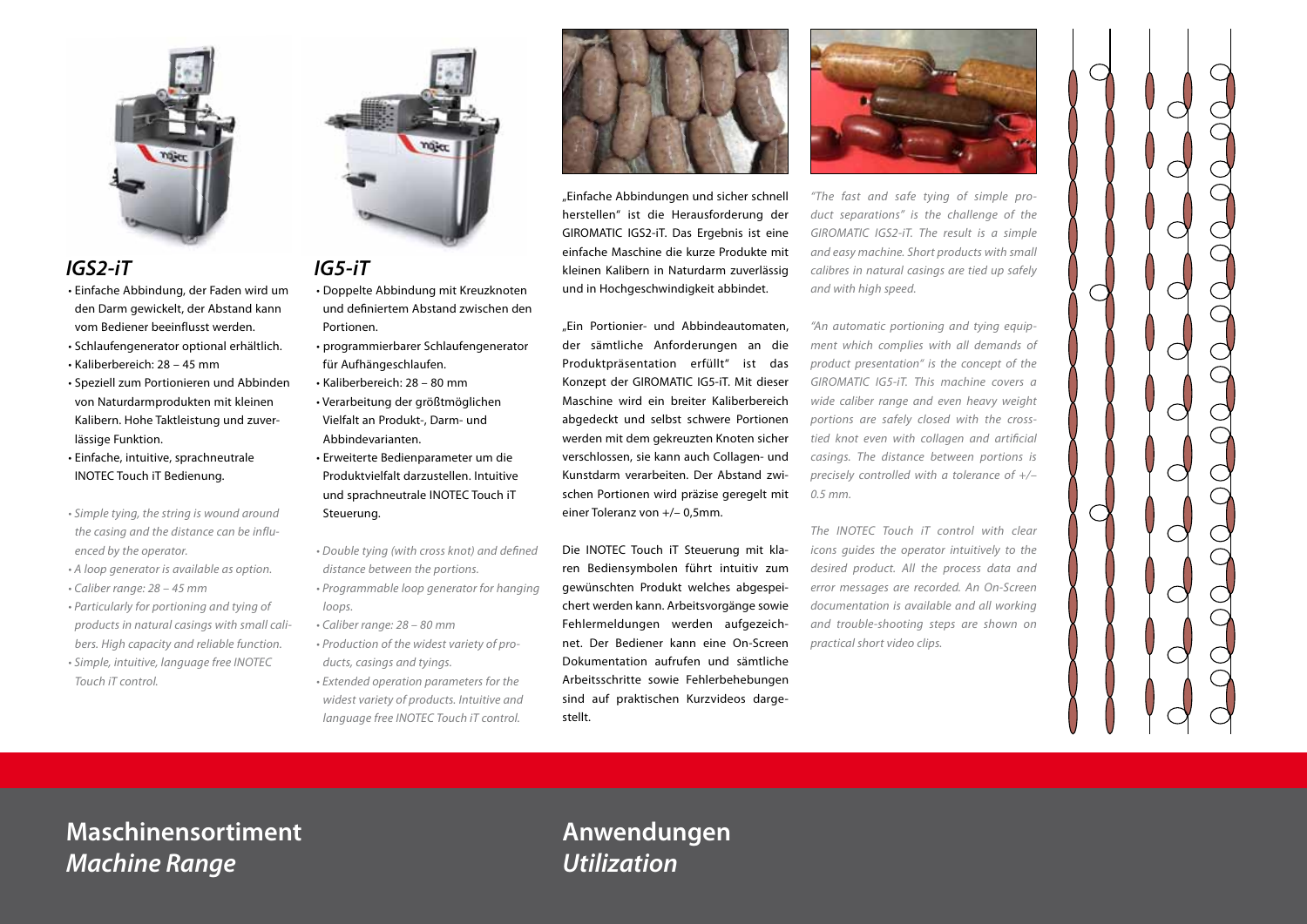

## *IGS2-iT*

- Einfache Abbindung, der Faden wird um den Darm gewickelt, der Abstand kann vom Bediener beeinflusst werden.
- Schlaufengenerator optional erhältlich.
- Kaliberbereich: 28 45 mm
- Speziell zum Portionieren und Abbinden von Naturdarmprodukten mit kleinen Kalibern. Hohe Taktleistung und zuverlässige Funktion.

• Einfache, intuitive, sprachneutrale INOTEC Touch iT Bedienung.

- Simple tying, the string is wound around *the casing and the distance can be influenced by the operator.*
- A loop generator is available as option.
- Caliber range: 28 45 mm
- Particularly for portioning and tying of *products in natural casings with small calibers. High capacity and reliable function.* • Simple, intuitive, language free INOTEC
- *Touch iT control.*



## *IG5-iT*

- Doppelte Abbindung mit Kreuzknoten und definiertem Abstand zwischen den Portionen.
- programmierbarer Schlaufengenerator für Aufhängeschlaufen.
- Kaliberbereich: 28 80 mm • Verarbeitung der größtmöglichen Vielfalt an Produkt-, Darm- und Abbindevarianten. • Erweiterte Bedienparameter um die
- Produktvielfalt darzustellen. Intuitive und sprachneutrale INOTEC Touch iT Steuerung.
- Double tying (with cross knot) and defined *distance between the portions.*
- Programmable loop generator for hanging *loops.*
- Caliber range: 28 80 mm
- Production of the widest variety of pro*ducts, casings and tyings.*
- Extended operation parameters for the *widest variety of products. Intuitive and language free INOTEC Touch iT control.*



"Einfache Abbindungen und sicher schnell herstellen" ist die Herausforderung der GIROMATIC IGS2-iT. Das Ergebnis ist eine einfache Maschine die kurze Produkte mit kleinen Kalibern in Naturdarm zuverlässig und in Hochgeschwindigkeit abbindet.

"Ein Portionier- und Abbindeautomaten, der sämtliche Anforderungen an die Produktpräsentation erfüllt" ist das Konzept der GIROMATIC IG5-iT. Mit dieser Maschine wird ein breiter Kaliberbereich abgedeckt und selbst schwere Portionen werden mit dem gekreuzten Knoten sicher verschlossen, sie kann auch Collagen- und Kunstdarm verarbeiten. Der Abstand zwischen Portionen wird präzise geregelt mit einer Toleranz von +/– 0,5mm.

Die INOTEC Touch iT Steuerung mit klaren Bediensymbolen führt intuitiv zum gewünschten Produkt welches abgespeichert werden kann. Arbeitsvorgänge sowie Fehlermeldungen werden aufgezeichnet. Der Bediener kann eine On-Screen Dokumentation aufrufen und sämtliche Arbeitsschritte sowie Fehlerbehebungen sind auf praktischen Kurzvideos dargestellt.



*"The fast and safe tying of simple product separations" is the challenge of the GIROMATIC IGS2-iT. The result is a simple and easy machine. Short products with small calibres in natural casings are tied up safely and with high speed.*

*"An automatic portioning and tying equipment which complies with all demands of product presentation" is the concept of the*  GIROMATIC IG5-iT. This machine covers a *wide caliber range and even heavy weight portions are safely closed with the crosstied knot even with collagen and artificial casings. The distance between portions is precisely controlled with a tolerance of +/–*  0.5 mm.

*The INOTEC Touch iT control with clear icons guides the operator intuitively to the desired product. All the process data and error messages are recorded. An On-Screen documentation is available and all working and trouble-shooting steps are shown on practical short video clips.*



# **Maschinensortiment** *Machine Range*

# **Anwendungen** *Utilization*